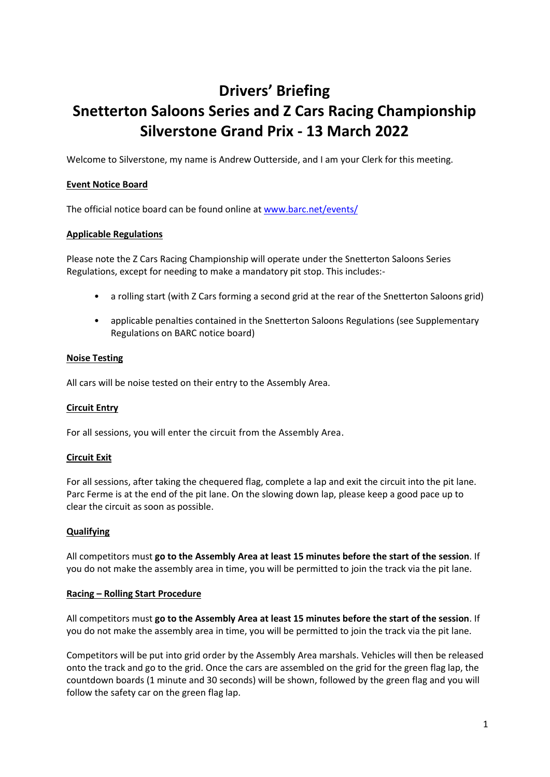# **Drivers' Briefing Snetterton Saloons Series and Z Cars Racing Championship Silverstone Grand Prix - 13 March 2022**

Welcome to Silverstone, my name is Andrew Outterside, and I am your Clerk for this meeting.

## **Event Notice Board**

The official notice board can be found online at [www.barc.net/events/](http://www.barc.net/events/)

# **Applicable Regulations**

Please note the Z Cars Racing Championship will operate under the Snetterton Saloons Series Regulations, except for needing to make a mandatory pit stop. This includes:-

- a rolling start (with Z Cars forming a second grid at the rear of the Snetterton Saloons grid)
- applicable penalties contained in the Snetterton Saloons Regulations (see Supplementary Regulations on BARC notice board)

## **Noise Testing**

All cars will be noise tested on their entry to the Assembly Area.

## **Circuit Entry**

For all sessions, you will enter the circuit from the Assembly Area.

## **Circuit Exit**

For all sessions, after taking the chequered flag, complete a lap and exit the circuit into the pit lane. Parc Ferme is at the end of the pit lane. On the slowing down lap, please keep a good pace up to clear the circuit as soon as possible.

# **Qualifying**

All competitors must **go to the Assembly Area at least 15 minutes before the start of the session**. If you do not make the assembly area in time, you will be permitted to join the track via the pit lane.

## **Racing – Rolling Start Procedure**

All competitors must **go to the Assembly Area at least 15 minutes before the start of the session**. If you do not make the assembly area in time, you will be permitted to join the track via the pit lane.

Competitors will be put into grid order by the Assembly Area marshals. Vehicles will then be released onto the track and go to the grid. Once the cars are assembled on the grid for the green flag lap, the countdown boards (1 minute and 30 seconds) will be shown, followed by the green flag and you will follow the safety car on the green flag lap.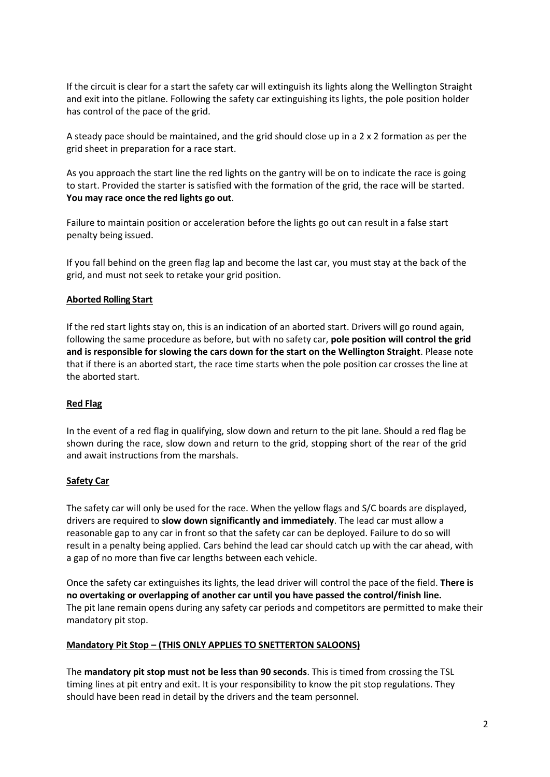If the circuit is clear for a start the safety car will extinguish its lights along the Wellington Straight and exit into the pitlane. Following the safety car extinguishing its lights, the pole position holder has control of the pace of the grid.

A steady pace should be maintained, and the grid should close up in a 2 x 2 formation as per the grid sheet in preparation for a race start.

As you approach the start line the red lights on the gantry will be on to indicate the race is going to start. Provided the starter is satisfied with the formation of the grid, the race will be started. **You may race once the red lights go out**.

Failure to maintain position or acceleration before the lights go out can result in a false start penalty being issued.

If you fall behind on the green flag lap and become the last car, you must stay at the back of the grid, and must not seek to retake your grid position.

## **Aborted Rolling Start**

If the red start lights stay on, this is an indication of an aborted start. Drivers will go round again, following the same procedure as before, but with no safety car, **pole position will control the grid and is responsible for slowing the cars down for the start on the Wellington Straight**. Please note that if there is an aborted start, the race time starts when the pole position car crosses the line at the aborted start.

## **Red Flag**

In the event of a red flag in qualifying, slow down and return to the pit lane. Should a red flag be shown during the race, slow down and return to the grid, stopping short of the rear of the grid and await instructions from the marshals.

## **Safety Car**

The safety car will only be used for the race. When the yellow flags and S/C boards are displayed, drivers are required to **slow down significantly and immediately**. The lead car must allow a reasonable gap to any car in front so that the safety car can be deployed. Failure to do so will result in a penalty being applied. Cars behind the lead car should catch up with the car ahead, with a gap of no more than five car lengths between each vehicle.

Once the safety car extinguishes its lights, the lead driver will control the pace of the field. **There is no overtaking or overlapping of another car until you have passed the control/finish line.** The pit lane remain opens during any safety car periods and competitors are permitted to make their mandatory pit stop.

## **Mandatory Pit Stop – (THIS ONLY APPLIES TO SNETTERTON SALOONS)**

The **mandatory pit stop must not be less than 90 seconds**. This is timed from crossing the TSL timing lines at pit entry and exit. It is your responsibility to know the pit stop regulations. They should have been read in detail by the drivers and the team personnel.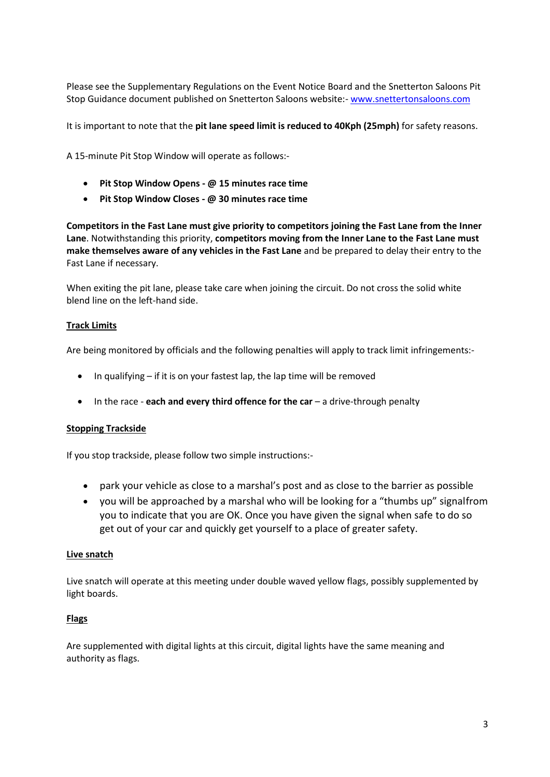Please see the Supplementary Regulations on the Event Notice Board and the Snetterton Saloons Pit Stop Guidance document published on Snetterton Saloons website:- [www.snettertonsaloons.com](http://www.snettertonsaloons.com/)

It is important to note that the **pit lane speed limit is reduced to 40Kph (25mph)** for safety reasons.

A 15-minute Pit Stop Window will operate as follows:-

- **Pit Stop Window Opens - @ 15 minutes race time**
- **Pit Stop Window Closes - @ 30 minutes race time**

**Competitors in the Fast Lane must give priority to competitors joining the Fast Lane from the Inner Lane**. Notwithstanding this priority, **competitors moving from the Inner Lane to the Fast Lane must make themselves aware of any vehicles in the Fast Lane** and be prepared to delay their entry to the Fast Lane if necessary.

When exiting the pit lane, please take care when joining the circuit. Do not cross the solid white blend line on the left-hand side.

## **Track Limits**

Are being monitored by officials and the following penalties will apply to track limit infringements:-

- In qualifying if it is on your fastest lap, the lap time will be removed
- In the race **each and every third offence for the car** a drive-through penalty

## **Stopping Trackside**

If you stop trackside, please follow two simple instructions:-

- park your vehicle as close to a marshal's post and as close to the barrier as possible
- you will be approached by a marshal who will be looking for a "thumbs up" signalfrom you to indicate that you are OK. Once you have given the signal when safe to do so get out of your car and quickly get yourself to a place of greater safety.

## **Live snatch**

Live snatch will operate at this meeting under double waved yellow flags, possibly supplemented by light boards.

## **Flags**

Are supplemented with digital lights at this circuit, digital lights have the same meaning and authority as flags.